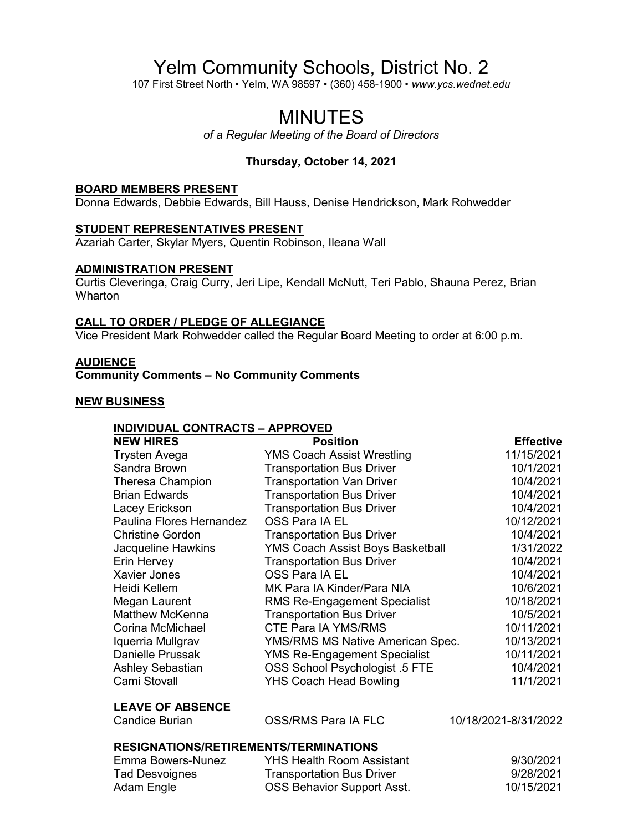# Yelm Community Schools, District No. 2

107 First Street North • Yelm, WA 98597 • (360) 458-1900 • *www.ycs.wednet.edu*

## MINUTES

*of a Regular Meeting of the Board of Directors*

## **Thursday, October 14, 2021**

#### **BOARD MEMBERS PRESENT**

Donna Edwards, Debbie Edwards, Bill Hauss, Denise Hendrickson, Mark Rohwedder

#### **STUDENT REPRESENTATIVES PRESENT**

Azariah Carter, Skylar Myers, Quentin Robinson, Ileana Wall

#### **ADMINISTRATION PRESENT**

Curtis Cleveringa, Craig Curry, Jeri Lipe, Kendall McNutt, Teri Pablo, Shauna Perez, Brian **Wharton** 

#### **CALL TO ORDER / PLEDGE OF ALLEGIANCE**

Vice President Mark Rohwedder called the Regular Board Meeting to order at 6:00 p.m.

#### **AUDIENCE**

**Community Comments – No Community Comments**

#### **NEW BUSINESS**

#### **INDIVIDUAL CONTRACTS – APPROVED**

| <b>NEW HIRES</b>                                 | <b>Position</b>                         | <b>Effective</b>     |
|--------------------------------------------------|-----------------------------------------|----------------------|
| Trysten Avega                                    | <b>YMS Coach Assist Wrestling</b>       | 11/15/2021           |
| Sandra Brown                                     | <b>Transportation Bus Driver</b>        | 10/1/2021            |
| <b>Theresa Champion</b>                          | <b>Transportation Van Driver</b>        | 10/4/2021            |
| <b>Brian Edwards</b>                             | <b>Transportation Bus Driver</b>        | 10/4/2021            |
| Lacey Erickson                                   | <b>Transportation Bus Driver</b>        | 10/4/2021            |
| Paulina Flores Hernandez                         | OSS Para IA EL                          | 10/12/2021           |
| <b>Christine Gordon</b>                          | <b>Transportation Bus Driver</b>        | 10/4/2021            |
| Jacqueline Hawkins                               | YMS Coach Assist Boys Basketball        | 1/31/2022            |
| Erin Hervey                                      | <b>Transportation Bus Driver</b>        | 10/4/2021            |
| <b>Xavier Jones</b>                              | OSS Para IA EL                          | 10/4/2021            |
| Heidi Kellem                                     | MK Para IA Kinder/Para NIA              | 10/6/2021            |
| Megan Laurent                                    | <b>RMS Re-Engagement Specialist</b>     | 10/18/2021           |
| <b>Matthew McKenna</b>                           | <b>Transportation Bus Driver</b>        | 10/5/2021            |
| Corina McMichael                                 | <b>CTE Para IA YMS/RMS</b>              | 10/11/2021           |
| Iquerria Mullgrav                                | <b>YMS/RMS MS Native American Spec.</b> | 10/13/2021           |
| <b>Danielle Prussak</b>                          | <b>YMS Re-Engagement Specialist</b>     | 10/11/2021           |
| <b>Ashley Sebastian</b>                          | OSS School Psychologist .5 FTE          | 10/4/2021            |
| Cami Stovall                                     | <b>YHS Coach Head Bowling</b>           | 11/1/2021            |
| <b>LEAVE OF ABSENCE</b><br><b>Candice Burian</b> | OSS/RMS Para IA FLC                     | 10/18/2021-8/31/2022 |
|                                                  |                                         |                      |

#### **RESIGNATIONS/RETIREMENTS/TERMINATIONS**

| Emma Bowers-Nunez | <b>YHS Health Room Assistant</b>  | 9/30/2021  |
|-------------------|-----------------------------------|------------|
| Tad Desvoignes    | <b>Transportation Bus Driver</b>  | 9/28/2021  |
| Adam Engle        | <b>OSS Behavior Support Asst.</b> | 10/15/2021 |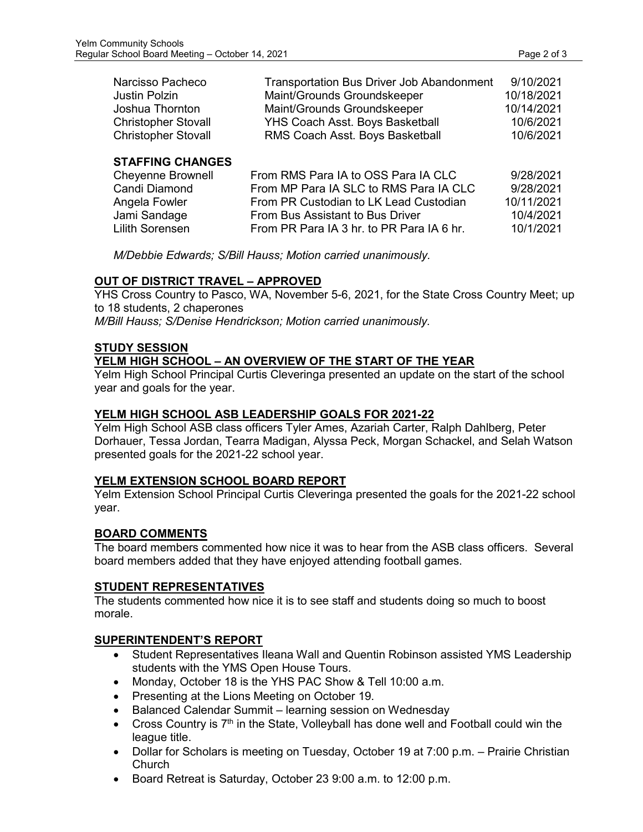| Narcisso Pacheco           | <b>Transportation Bus Driver Job Abandonment</b> | 9/10/2021  |
|----------------------------|--------------------------------------------------|------------|
| <b>Justin Polzin</b>       | Maint/Grounds Groundskeeper                      | 10/18/2021 |
| Joshua Thornton            | Maint/Grounds Groundskeeper                      | 10/14/2021 |
| <b>Christopher Stovall</b> | YHS Coach Asst. Boys Basketball                  | 10/6/2021  |
| <b>Christopher Stovall</b> | RMS Coach Asst. Boys Basketball                  | 10/6/2021  |
| <b>STAFFING CHANGES</b>    |                                                  |            |
| <b>Cheyenne Brownell</b>   | From RMS Para IA to OSS Para IA CLC              | 9/28/2021  |
| Candi Diamond              | From MP Para IA SLC to RMS Para IA CLC           | 9/28/2021  |
| Angela Fowler              | From PR Custodian to LK Lead Custodian           | 10/11/2021 |
| Jami Sandage               | From Bus Assistant to Bus Driver                 | 10/4/2021  |
| <b>Lilith Sorensen</b>     | From PR Para IA 3 hr. to PR Para IA 6 hr.        | 10/1/2021  |
|                            |                                                  |            |

*M/Debbie Edwards; S/Bill Hauss; Motion carried unanimously.*

## **OUT OF DISTRICT TRAVEL – APPROVED**

YHS Cross Country to Pasco, WA, November 5-6, 2021, for the State Cross Country Meet; up to 18 students, 2 chaperones

*M/Bill Hauss; S/Denise Hendrickson; Motion carried unanimously.*

## **STUDY SESSION**

## **YELM HIGH SCHOOL – AN OVERVIEW OF THE START OF THE YEAR**

Yelm High School Principal Curtis Cleveringa presented an update on the start of the school year and goals for the year.

## **YELM HIGH SCHOOL ASB LEADERSHIP GOALS FOR 2021-22**

Yelm High School ASB class officers Tyler Ames, Azariah Carter, Ralph Dahlberg, Peter Dorhauer, Tessa Jordan, Tearra Madigan, Alyssa Peck, Morgan Schackel, and Selah Watson presented goals for the 2021-22 school year.

## **YELM EXTENSION SCHOOL BOARD REPORT**

Yelm Extension School Principal Curtis Cleveringa presented the goals for the 2021-22 school year.

## **BOARD COMMENTS**

The board members commented how nice it was to hear from the ASB class officers. Several board members added that they have enjoyed attending football games.

#### **STUDENT REPRESENTATIVES**

The students commented how nice it is to see staff and students doing so much to boost morale.

## **SUPERINTENDENT'S REPORT**

- Student Representatives Ileana Wall and Quentin Robinson assisted YMS Leadership students with the YMS Open House Tours.
- Monday, October 18 is the YHS PAC Show & Tell 10:00 a.m.
- Presenting at the Lions Meeting on October 19.
- Balanced Calendar Summit learning session on Wednesday
- Cross Country is  $7<sup>th</sup>$  in the State, Volleyball has done well and Football could win the league title.
- Dollar for Scholars is meeting on Tuesday, October 19 at 7:00 p.m. Prairie Christian Church
- Board Retreat is Saturday, October 23 9:00 a.m. to 12:00 p.m.